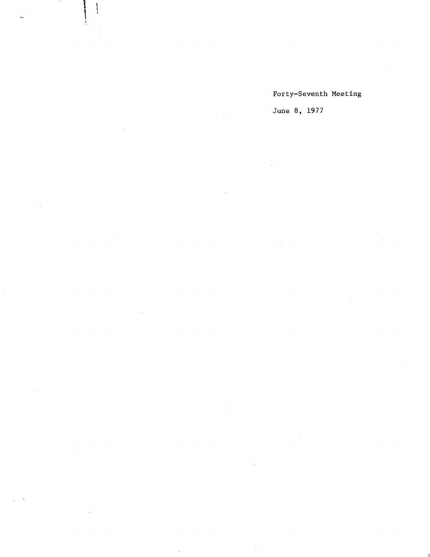Forty-Seventh Meeting

June 8, 1977

 $\ddot{\phantom{a}}$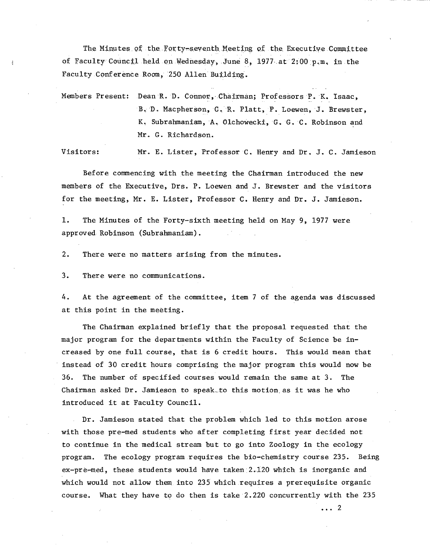The Minutes of the Forty-seventh Meeting of the Executive Committee of Faculty Council held on Wednesday, June 8, 1977 at 2:00 p.m. in the Faculty Conference Room, 250 Allen Building.

Members Present: Dean R. D. Connor, Chairman; Professors P. K. Isaac, B. D. Macpherson, C. R. Platt, P. Loewen, J. Brewster, K. Subrahmaniam, A., Olchowecki, G. G. C. Robinson and Mr. G. Richardson.

Visitors: Mr. E. Lister, Professor C. Henry and Dr. J. C. Jamieson

Before commencing with the meeting the Chairman introduced the new members of the Executive, Drs. P. Loewen and J. Brewster and the visitors for the meeting, Mr. E. Lister, Professor C. Henry and Dr. J. Jamieson.

 $1.$ The Minutes of the Forty-sixth meeting held on May 9, 1977 were approved. Robinson (Subrahmaniam).

 $2.$ There were no matters arising from the minutes.

 $3.$ There were no communications.

At the agreement of the committee, item 7 of the agenda was discussed 4. at this point in the meeting.

The Chairman explained briefly that the proposal requested that the major program for the departments within the Faculty of Science be increased by one full course, that is 6 credit hours. This would mean that instead of 30 credit hours comprising the major program this would now be 36. The number of specified courses would remain the same at 3. The Chairman asked Dr. Jamieson to speak.to this motion as it was he who introduced it at Faculty Council.

Dr. Jamieson stated that the problem which led to this motion arose with those pre-med students who after completing first year decided not to continue in the medical stream but to go into Zoology in the ecology program. The ecology program requires the bio-chemistry course 235. Being ex-pre-med, these students would have taken 2.120 which is inorganic and which would not allow them into 235 which requires a prerequisite organic course. What they have to do then is take 2.220 concurrently with the 235

... 2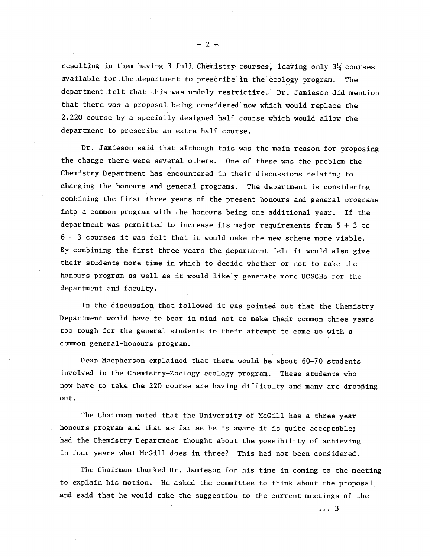resulting in them having 3 full Chemistry courses, leayjng only 3¼ courses available for the department to prescribe in the ecology program. The department felt that this was unduly restrictive. Dr. Jamieson did mention that there was a proposal. being considered now which would replace the 2.220 course by a specially designed half course which would allow the department to prescribe an extra half course.

Dr. Jamieson said that although this was the main reason for proposing the change there were several others. One of these was the problem the Chemistry Department has encountered in their discussions relating to changing the honours and general programs. The department is considering combining the first three years of the present honours and general programs into a common program with the honours being one additional year. If the department was permitted to increase its major requirements from  $5 + 3$  to 6 + 3 courses it was felt that it would make the new scheme more viable. By combining the first three years the department felt it would also give their students more time in which to decide whether or not to take the honours program as well as it would likely generate more UGSCHs for the department and faculty.

In the discussion that, followed it was pointed out that the Chemistry Department would have to bear in mind not to make their common three years too tough for the general students in their attempt to come up with a common general-honours program.

Dean Macpherson explained that there would be about 60-70 students Involved in the Chemistry-Zoology ecology program. These students who now have to take the 220 course are having difficulty and many are dropping out.

The Chairman noted that the University of McGill has a three year honours program and that as far as he is aware it is quite acceptable; had the Chemistry Department thought about the possibility of achieving in four years what McGill does in three? This had not been considered.

The Chairman thanked Dr.. Jamieson for his time in coming to the meeting to explain his motion. He asked the committee to think about the proposal and said that he would take the suggestion to the current meetings of the

 $-2$   $-$ 

 $\ldots$  3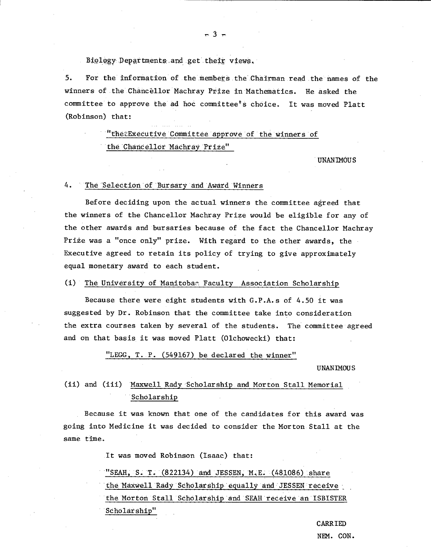Biology Departments and get their views.

5. For the information of the members the' ChaIrman read the names of the winners of the Chancellor Machray Prize in Mathematics. He asked the committee to approve the ad hoc committee's choice. It was moved Platt (Robinson) that:

 $-3 -$ 

"thetExecutive Committee approve of the winners of the ChancellOr Machray Prize"

UNANIMOUS

### 4. The Selection of Bursary and Award Winners

Before deciding upon the actual winners the committee agreed that the winners of the Chancellor Machray Prize would be eligible for any of the other awards and bursaries because of the fact the Chancellor Machray Prize was a "once only" prize. With regard to the other awards, the Executive agreed to retain its policy of trying to give approximately equal monetary award to each student.

# (I) The University of Manitobar Faculty Association Scholarship

Because there were eight students with G.P.A.s of 4.50 it was suggested by Dr. Robinson that the committee take into consideration the extra courses taken by several of the students. The committee agreed and on that basis it was moved Platt (Olchowecki) that:

# "LEGG, T. P. (549167) be declared the winner"

#### UNANIMOUS

# (ii) and (iii) Maxwell Rady 'Scholarship and Morton Stall Memorial Scholarship

Because it was known that one of the candidates for this award was going into Medicine it was decided to consider the Morton Stall at the same time.

It was moved Robinson (Isaac) that:

"SEAH, S. T.  $(822134)$  and JESSEN, M.E.  $(481086)$  share the Maxwell Rady 'Scholarship equally and JESSEN receive the Morton Stall Scholarship 'and 'SEAM receive an ISBISTER Scholarship"

> CARRIED NEM. CON.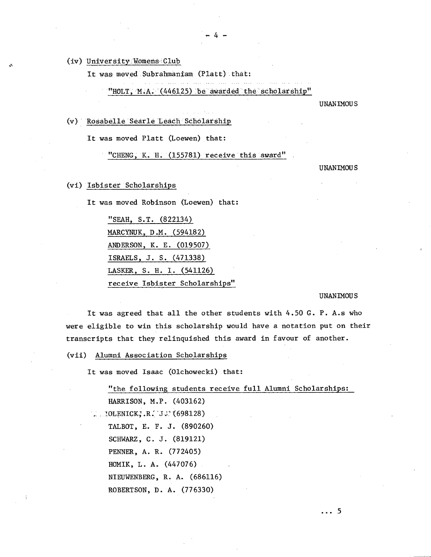(iv) University Womens Club

It was moved Subrahmaniam (Platt) that:

 $-4-$ 

"HOLT,  $M.A.$  (446125) be awarded the scholarship"

UNANIMOUS

# Rosabéllé Searle Ledch:SchOlàrship

It was moved Platt (Loewen) that:

"CHENG, K. H. (155781) receive this award"

UNANIMOUS

# Isbistér Scholarships

It was moved Robinson (Loewen) that:

"SEAR, S.T. (822134) MARCYNUK, D.M. (594182) ANDERSON, K. E. (019507) ISRAELS, J. S. (471338) LASKER, S. H. I. (541126 receive Isbister Scholarships"

#### UNANIMOUS

It was agreed that all the other students with 4.50 G. P. A.s who were eligible to win this scholarship would have a notation put on their transcripts that they relinquished this award in favour of another.

Alumni Association Scholarships

It was moved Isaac (Olchowecki) that:

"the following students receive full Alumni Scholarships: HARRISON, M.P. (403162)  $:10$ LENICK, R. J.' (698128) TALBOT, E. F. J. (890260) SCHWARZ, C. J. (819121) PENNER, A. R. (772405) HOMIK, L. A. (447076) NIEUWENBERG, R. A. (686116) ROBERTSON, D. A. (776330)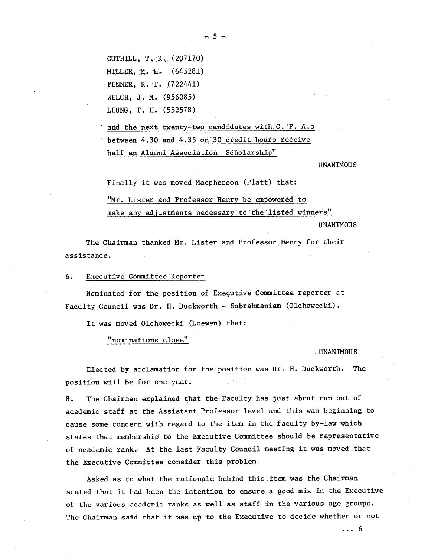CUTHILL,  $T_R$ ,  $R_A$  (207170) MILLER, M. IL. (645281) PENNER, R. T. (722441) WELCH, J. M. (956085) LEUNG, T. H. (552578)

and the next twenty-two candidates with G. P. A.s between 4.30 and 4.35 on 30 credit hours receive half an AlUmni Association Scholarship"

UNANIMOUS

Finally it was moved Macpherson (Platt) that:

"Mr. Lister and Professor Henry be empowered to make any adjustnents necessary to the listed winners"

UNANIMOUS

The Chairman thanked Mr. Lister and Professor Henry for their assistance.

6. Executive Committee Reporter

Nominated for the position of Executive Committee reporter at Faculty Council was  $Dr. H. Duckworth - Subrahmaniam (O1chowecki).$ 

It was moved Olchowecki (Loewen) that:

"nominations close"

UNANIMOUS

Elected by acclamation for the position was Dr. H. Duckworth. The position will be for one year.

8. The Chairman explained that the Faculty has just about run out of academic staff at the Assistant Professor level and this was beginning to cause some concern with regard to the item in the faculty by-law which states that membership to the Executive Committee should be representative of academic rank. At the last Faculty Council meeting it was moved that the Executive Committee consider this problem.

Asked as to what the rationale behind this.item was the Chairman stated that it had been the intention to ensure a good mix in the Executive of the various academic ranks as well as staff in the various age groups. The Chairman said that it was up to the Executive to decide whether or not

... 6

 $\pi$  5  $\pi$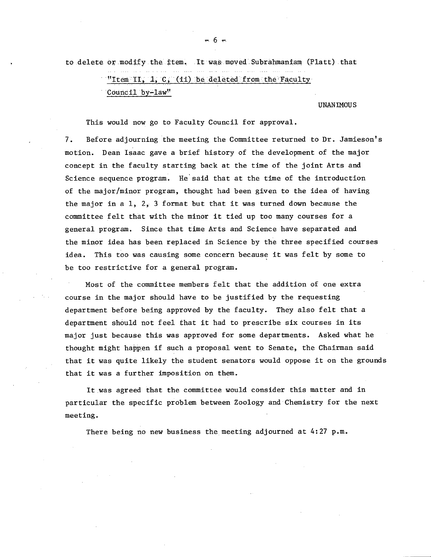to delete or modify the ±tem. Itwasmoved.Subrähmaniam (Platt) that

# "Item II,  $1, C, (ii)$  be deleted from the Faculty COuncil by-law"

#### **UNANIMOUS**

This would now go to Faculty Council for approval.

7. Before adjourning the meeting the Committee returned to Dr. Jamieson's motion. Dean Isaac gave a brief history of the development of the major concept in the faculty starting back at the time of the joint Arts and Science sequence program. He'said that at the time of the introduction of the major/minor program, thought had been given to the idea of having the major in a 1, 2, 3 format but that it was turned down because the committee felt that with the minor it tied up too many courses for a general program. Since that time Arts and Science have separated and the minor idea has been replaced in Science by the three specified courses idea. This too was causing some concern because it was felt by some to be too restrictive for a general program.

Most of the committee members felt that the addition of one extra course in the major should have to be justified by the requesting department before being approved by the faculty. They also felt that a department should not feel that it had to prescribe six courses in its major just because this was approved for some departments. Asked what he thought might happen if such a proposal went to Senate, the Chairman said that it was quite likely the student senators would oppose it on the grounds that it was a further imposition on them.

It was agreed that the committee would consider this matter and in particular the specific problem between Zoology and Chemistry for the next meeting.

There being no new business the meeting adjourned at 4:27 p.m.